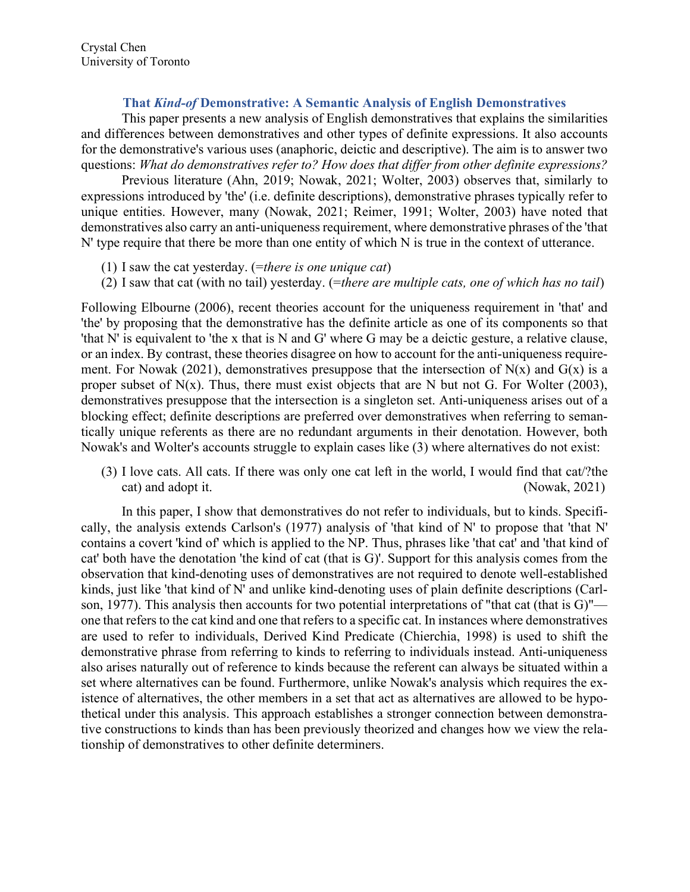## That Kind-of Demonstrative: A Semantic Analysis of English Demonstratives

This paper presents a new analysis of English demonstratives that explains the similarities and differences between demonstratives and other types of definite expressions. It also accounts for the demonstrative's various uses (anaphoric, deictic and descriptive). The aim is to answer two questions: What do demonstratives refer to? How does that differ from other definite expressions?

Previous literature (Ahn, 2019; Nowak, 2021; Wolter, 2003) observes that, similarly to expressions introduced by 'the' (i.e. definite descriptions), demonstrative phrases typically refer to unique entities. However, many (Nowak, 2021; Reimer, 1991; Wolter, 2003) have noted that demonstratives also carry an anti-uniqueness requirement, where demonstrative phrases of the 'that N' type require that there be more than one entity of which N is true in the context of utterance.

- (1) I saw the cat yesterday. (=there is one unique cat)
- (2) I saw that cat (with no tail) yesterday. (=there are multiple cats, one of which has no tail)

Following Elbourne (2006), recent theories account for the uniqueness requirement in 'that' and 'the' by proposing that the demonstrative has the definite article as one of its components so that 'that N' is equivalent to 'the x that is N and G' where G may be a deictic gesture, a relative clause, or an index. By contrast, these theories disagree on how to account for the anti-uniqueness requirement. For Nowak (2021), demonstratives presuppose that the intersection of N(x) and G(x) is a proper subset of  $N(x)$ . Thus, there must exist objects that are N but not G. For Wolter (2003), demonstratives presuppose that the intersection is a singleton set. Anti-uniqueness arises out of a blocking effect; definite descriptions are preferred over demonstratives when referring to semantically unique referents as there are no redundant arguments in their denotation. However, both Nowak's and Wolter's accounts struggle to explain cases like (3) where alternatives do not exist:

(3) I love cats. All cats. If there was only one cat left in the world, I would find that cat/?the cat) and adopt it. (Nowak, 2021)

In this paper, I show that demonstratives do not refer to individuals, but to kinds. Specifically, the analysis extends Carlson's (1977) analysis of 'that kind of N' to propose that 'that N' contains a covert 'kind of' which is applied to the NP. Thus, phrases like 'that cat' and 'that kind of cat' both have the denotation 'the kind of cat (that is G)'. Support for this analysis comes from the observation that kind-denoting uses of demonstratives are not required to denote well-established kinds, just like 'that kind of N' and unlike kind-denoting uses of plain definite descriptions (Carlson, 1977). This analysis then accounts for two potential interpretations of "that cat (that is G)" one that refers to the cat kind and one that refers to a specific cat. In instances where demonstratives are used to refer to individuals, Derived Kind Predicate (Chierchia, 1998) is used to shift the demonstrative phrase from referring to kinds to referring to individuals instead. Anti-uniqueness also arises naturally out of reference to kinds because the referent can always be situated within a set where alternatives can be found. Furthermore, unlike Nowak's analysis which requires the existence of alternatives, the other members in a set that act as alternatives are allowed to be hypothetical under this analysis. This approach establishes a stronger connection between demonstrative constructions to kinds than has been previously theorized and changes how we view the relationship of demonstratives to other definite determiners.